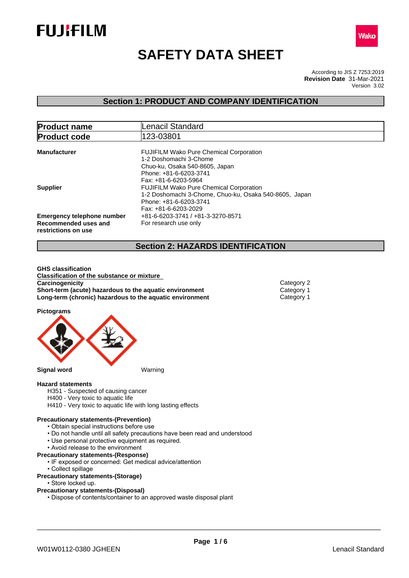



# **SAFETY DATA SHEET**

According to JIS Z 7253:2019 Version 3.02 **Revision Date** 31-Mar-2021

# **Section 1: PRODUCT AND COMPANY IDENTIFICATION**

| <b>Product name</b>                                                              | <b>Lenacil Standard</b>                                                                                                                                      |
|----------------------------------------------------------------------------------|--------------------------------------------------------------------------------------------------------------------------------------------------------------|
| <b>Product code</b>                                                              | 123-03801                                                                                                                                                    |
| <b>Manufacturer</b>                                                              | <b>FUJIFILM Wako Pure Chemical Corporation</b><br>1-2 Doshomachi 3-Chome<br>Chuo-ku, Osaka 540-8605, Japan<br>Phone: +81-6-6203-3741<br>Fax: +81-6-6203-5964 |
| <b>Supplier</b>                                                                  | <b>FUJIFILM Wako Pure Chemical Corporation</b><br>1-2 Doshomachi 3-Chome, Chuo-ku, Osaka 540-8605, Japan<br>Phone: +81-6-6203-3741<br>Fax: +81-6-6203-2029   |
| <b>Emergency telephone number</b><br>Recommended uses and<br>restrictions on use | +81-6-6203-3741 / +81-3-3270-8571<br>For research use only                                                                                                   |

# **Section 2: HAZARDS IDENTIFICATION**

**GHS classification Classification of the substance or mixture Carcinogenicity** Category 2 **Short-term (acute) hazardous to the aquatic environment** Category 1<br> **Long-term (chronic) hazardous to the aquatic environment** Category 1 **Long-term (chronic) hazardous to the aquatic environment** 

**Pictograms**



## **Hazard statements**

- H351 Suspected of causing cancer
- H400 Very toxic to aquatic life
- H410 Very toxic to aquatic life with long lasting effects

## **Precautionary statements-(Prevention)**

- Obtain special instructions before use
- Do not handle until all safety precautions have been read and understood
- Use personal protective equipment as required.
- Avoid release to the environment
- **Precautionary statements-(Response)**
	- IF exposed or concerned: Get medical advice/attention
	- Collect spillage
- **Precautionary statements-(Storage)**
	- Store locked up.

# **Precautionary statements-(Disposal)**

• Dispose of contents/container to an approved waste disposal plant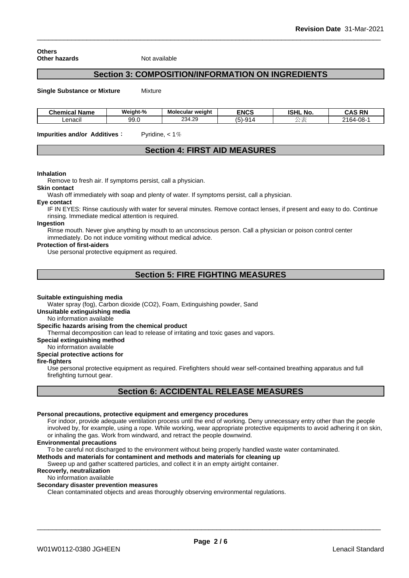**Others Other hazards** Not available

# **Section 3: COMPOSITION/INFORMATION ON INGREDIENTS**

**Single Substance or Mixture** Mixture

| <b>Chemical Name</b> | Weight-%    | <b>Molecular weight</b> | <b>ENCS</b>     | <b>ISHL No.</b> | <b>CAS RN</b><br>CAS<br>-181 |
|----------------------|-------------|-------------------------|-----------------|-----------------|------------------------------|
| ∟enacil              | aa.<br>ວວ.ບ | 234.29                  | $\sim$<br>:-וכו | -               | -08-<br>2164.<br>vo<br>2 I U |

**Impurities and/or Additives:** Pyridine, < 1%

# **Section 4: FIRST AID MEASURES**

## **Inhalation**

Remove to fresh air. If symptoms persist, call a physician.

# **Skin contact**

Wash off immediately with soap and plenty of water. If symptoms persist, calla physician.

#### **Eye contact**

IF IN EYES: Rinse cautiously with water for several minutes. Remove contact lenses, if present and easy to do. Continue rinsing. Immediate medical attention is required.

#### **Ingestion**

Rinse mouth. Never give anything by mouth to an unconscious person. Call a physician or poison control center immediately. Do not induce vomiting without medical advice.

#### **Protection of first-aiders**

Use personal protective equipment as required.

# **Section 5: FIRE FIGHTING MEASURES**

### **Suitable extinguishing media**

Water spray (fog), Carbon dioxide (CO2), Foam, Extinguishing powder, Sand

**Unsuitable extinguishing media**

No information available

## **Specific hazards arising from the chemical product**

Thermal decomposition can lead to release of irritating and toxic gases and vapors.

**Special extinguishing method**

No information available

## **Special protective actions for**

#### **fire-fighters**

Use personal protective equipment as required. Firefighters should wear self-contained breathing apparatus and full firefighting turnout gear.

# **Section 6: ACCIDENTAL RELEASE MEASURES**

### **Personal precautions, protective equipment and emergency procedures**

For indoor, provide adequate ventilation process until the end of working. Deny unnecessary entry other than the people involved by, for example, using a rope. While working, wear appropriate protective equipments to avoid adhering it on skin, or inhaling the gas. Work from windward, and retract the people downwind.

### **Environmental precautions**

To be careful not discharged to the environment without being properly handled waste water contaminated.

# **Methods and materials for contaminent and methods and materials for cleaning up**

Sweep up and gather scattered particles, and collect it in an empty airtight container.

## **Recoverly, neutralization**

## No information available

## **Secondary disaster prevention measures**

Clean contaminated objects and areas thoroughly observing environmental regulations.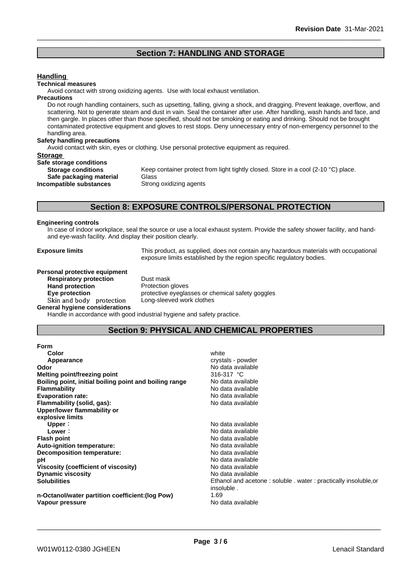# **Section 7: HANDLING AND STORAGE**

## **Handling**

#### **Technical measures**

Avoid contact with strong oxidizing agents. Use with local exhaust ventilation.

#### **Precautions**

Do not rough handling containers, such as upsetting, falling, giving a shock, and dragging. Prevent leakage, overflow, and scattering. Not to generate steam and dust in vain. Seal the container after use. After handling, wash hands and face, and then gargle. In places other than those specified, should not be smoking or eating and drinking. Should not be brought contaminated protective equipment and gloves to rest stops. Deny unnecessary entry of non-emergency personnel to the handling area.

### **Safety handling precautions**

Avoid contact with skin, eyes or clothing. Use personal protective equipment as required.

## **Storage**

**Safe storage conditions Safe packaging material** Glass<br>**ompatible substances** Strong oxidizing agents **Incompatible substances** 

**Storage conditions** Keep container protect from light tightly closed. Store in a cool (2-10 °C) place.

# **Section 8: EXPOSURE CONTROLS/PERSONAL PROTECTION**

#### **Engineering controls**

In case of indoor workplace, seal the source or use a local exhaust system. Provide the safety shower facility, and handand eye-wash facility. And display their position clearly.

**Exposure limits** This product, as supplied, does not contain any hazardous materials with occupational exposure limits established by the region specific regulatory bodies.

**Personal protective equipment Respiratory protection** Dust mask **Hand protection** Protection gloves Skin and body protection Long-sleeved work clothes **General hygiene considerations**

**Eye protection Eye protective eyeglasses or chemical safety goggles** 

Handle in accordance with good industrial hygiene and safety practice.

# **Section 9: PHYSICAL AND CHEMICAL PROPERTIES**

| v.<br>۰, |  |
|----------|--|

| <b>Form</b>                                            |                                                                   |
|--------------------------------------------------------|-------------------------------------------------------------------|
| Color                                                  | white                                                             |
| Appearance                                             | crystals - powder                                                 |
| Odor                                                   | No data available                                                 |
| <b>Melting point/freezing point</b>                    | 316-317 °C                                                        |
| Boiling point, initial boiling point and boiling range | No data available                                                 |
| <b>Flammability</b>                                    | No data available                                                 |
| <b>Evaporation rate:</b>                               | No data available                                                 |
| Flammability (solid, gas):                             | No data available                                                 |
| Upper/lower flammability or                            |                                                                   |
| explosive limits                                       |                                                                   |
| Upper:                                                 | No data available                                                 |
| Lower:                                                 | No data available                                                 |
| <b>Flash point</b>                                     | No data available                                                 |
| Auto-ignition temperature:                             | No data available                                                 |
| Decomposition temperature:                             | No data available                                                 |
| рH                                                     | No data available                                                 |
| <b>Viscosity (coefficient of viscosity)</b>            | No data available                                                 |
| <b>Dynamic viscosity</b>                               | No data available                                                 |
| <b>Solubilities</b>                                    | Ethanol and acetone : soluble . water : practically insoluble, or |
|                                                        | insoluble.                                                        |
| n-Octanol/water partition coefficient: (log Pow)       | 1.69                                                              |
| Vapour pressure                                        | No data available                                                 |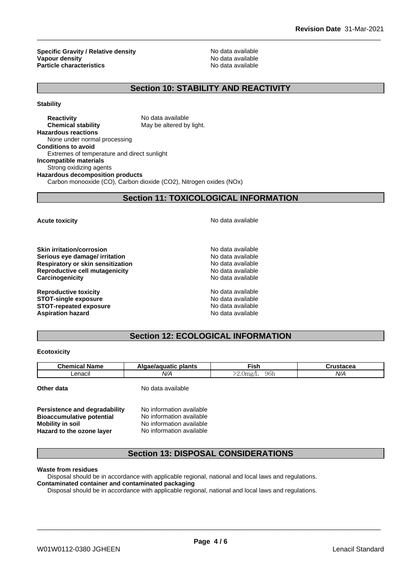**Specific Gravity / Relative density No data available**<br> **Vanour density** No data available **Vapour density**<br> **Particle characteristics**<br> **Particle characteristics**<br> **Particle characteristics Particle characteristics** 

# **Section 10: STABILITY AND REACTIVITY**

**Stability**

**Reactivity Reactivity** No data available<br> **Chemical stability** May be altered by **May be altered by light. Hazardous reactions** None under normal processing **Conditions to avoid** Extremes of temperature and direct sunlight **Incompatible materials** Strong oxidizing agents **Hazardous decomposition products** Carbon monooxide (CO), Carbon dioxide (CO2), Nitrogen oxides (NOx)

# **Section 11: TOXICOLOGICAL INFORMATION**

**Skin irritation/corrosion**<br> **Serious eve damage/ irritation**<br> **Serious eve damage/ irritation Serious** eye damage/ irritation **Respiratory or skin sensitization** No data available **Reproductive cell mutagenicity**<br> **Carcinogenicity**<br>
Carcinogenicity<br>
No data available **Carcinogenicity** 

**Reproductive toxicity No data available** No data available **STOT-single exposure**  $\qquad \qquad \qquad$  No data available **STOT-repeated exposure** No data available **Aspiration hazard Aspiration hazard No data available** 

**Acute toxicity Acute toxicity Acute has available No data available** 

# **Section 12: ECOLOGICAL INFORMATION**

### **Ecotoxicity**

| <b>Chemical Name</b> | Algae/aquatic plants | ™ish                     | Crustacea |
|----------------------|----------------------|--------------------------|-----------|
| Lenacil              | N/A                  | 96h<br>$\sim$<br>2.0mg/L | N/A       |
| Other data           | No data available    |                          |           |

| Persistence and degradability    | No information available |  |
|----------------------------------|--------------------------|--|
| <b>Bioaccumulative potential</b> | No information available |  |
| <b>Mobility in soil</b>          | No information available |  |
| Hazard to the ozone layer        | No information available |  |

# **Section 13: DISPOSAL CONSIDERATIONS**

### **Waste from residues**

Disposal should be in accordance with applicable regional, national and local laws and regulations.

#### **Contaminated container and contaminated packaging**

Disposal should be in accordance with applicable regional, national and local laws and regulations.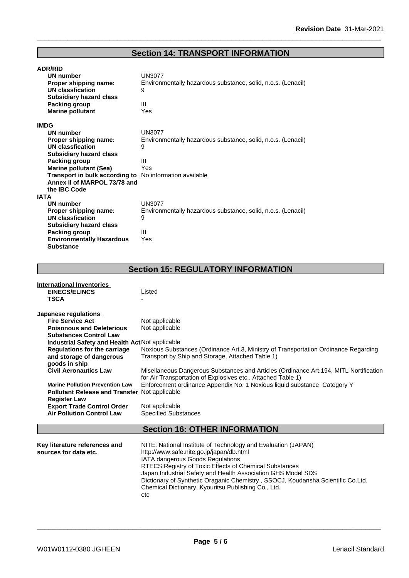# **Section 14: TRANSPORT INFORMATION**

| <b>ADR/RID</b>                                          |                                                              |
|---------------------------------------------------------|--------------------------------------------------------------|
| <b>UN number</b>                                        | UN3077                                                       |
| Proper shipping name:                                   | Environmentally hazardous substance, solid, n.o.s. (Lenacil) |
| <b>UN classfication</b>                                 | 9                                                            |
| <b>Subsidiary hazard class</b>                          |                                                              |
| Packing group                                           | Ш                                                            |
| <b>Marine pollutant</b>                                 | Yes                                                          |
| <b>IMDG</b>                                             |                                                              |
| <b>UN number</b>                                        | <b>UN3077</b>                                                |
| Proper shipping name:                                   | Environmentally hazardous substance, solid, n.o.s. (Lenacil) |
| <b>UN classfication</b>                                 | 9                                                            |
| <b>Subsidiary hazard class</b>                          |                                                              |
| Packing group                                           | Ш                                                            |
| <b>Marine pollutant (Sea)</b>                           | Yes                                                          |
| Transport in bulk according to No information available |                                                              |
| Annex II of MARPOL 73/78 and                            |                                                              |
| the IBC Code                                            |                                                              |
| <b>IATA</b>                                             |                                                              |
| <b>UN number</b>                                        | UN3077                                                       |
| Proper shipping name:                                   | Environmentally hazardous substance, solid, n.o.s. (Lenacil) |
| UN classfication                                        | 9                                                            |
| <b>Subsidiary hazard class</b>                          |                                                              |
| Packing group                                           | Ш                                                            |
| <b>Environmentally Hazardous</b>                        | Yes                                                          |
| <b>Substance</b>                                        |                                                              |

# **Section 15: REGULATORY INFORMATION**

| International Inventories                            |                                                                                        |
|------------------------------------------------------|----------------------------------------------------------------------------------------|
| <b>EINECS/ELINCS</b>                                 | Listed                                                                                 |
| <b>TSCA</b>                                          |                                                                                        |
|                                                      |                                                                                        |
| Japanese regulations                                 |                                                                                        |
| <b>Fire Service Act</b>                              | Not applicable                                                                         |
| <b>Poisonous and Deleterious</b>                     | Not applicable                                                                         |
| <b>Substances Control Law</b>                        |                                                                                        |
| Industrial Safety and Health Act Not applicable      |                                                                                        |
| <b>Regulations for the carriage</b>                  | Noxious Substances (Ordinance Art.3, Ministry of Transportation Ordinance Regarding    |
| and storage of dangerous                             | Transport by Ship and Storage, Attached Table 1)                                       |
| goods in ship                                        |                                                                                        |
| <b>Civil Aeronautics Law</b>                         | Misellaneous Dangerous Substances and Articles (Ordinance Art. 194, MITL Nortification |
|                                                      | for Air Transportation of Explosives etc., Attached Table 1)                           |
| <b>Marine Pollution Prevention Law</b>               | Enforcement ordinance Appendix No. 1 Noxious liquid substance Category Y               |
| <b>Pollutant Release and Transfer Not applicable</b> |                                                                                        |
|                                                      |                                                                                        |
| <b>Register Law</b>                                  |                                                                                        |
| <b>Export Trade Control Order</b>                    | Not applicable                                                                         |
| <b>Air Pollution Control Law</b>                     | <b>Specified Substances</b>                                                            |
|                                                      |                                                                                        |
|                                                      | <b>Section 16: OTHER INFORMATION</b>                                                   |

| Key literature references and | NITE: National Institute of Technology and Evaluation (JAPAN)                   |
|-------------------------------|---------------------------------------------------------------------------------|
| sources for data etc.         | http://www.safe.nite.go.jp/japan/db.html                                        |
|                               | IATA dangerous Goods Regulations                                                |
|                               | RTECS: Registry of Toxic Effects of Chemical Substances                         |
|                               | Japan Industrial Safety and Health Association GHS Model SDS                    |
|                               | Dictionary of Synthetic Oraganic Chemistry, SSOCJ, Koudansha Scientific Co.Ltd. |
|                               | Chemical Dictionary, Kyouritsu Publishing Co., Ltd.                             |
|                               | etc                                                                             |
|                               |                                                                                 |